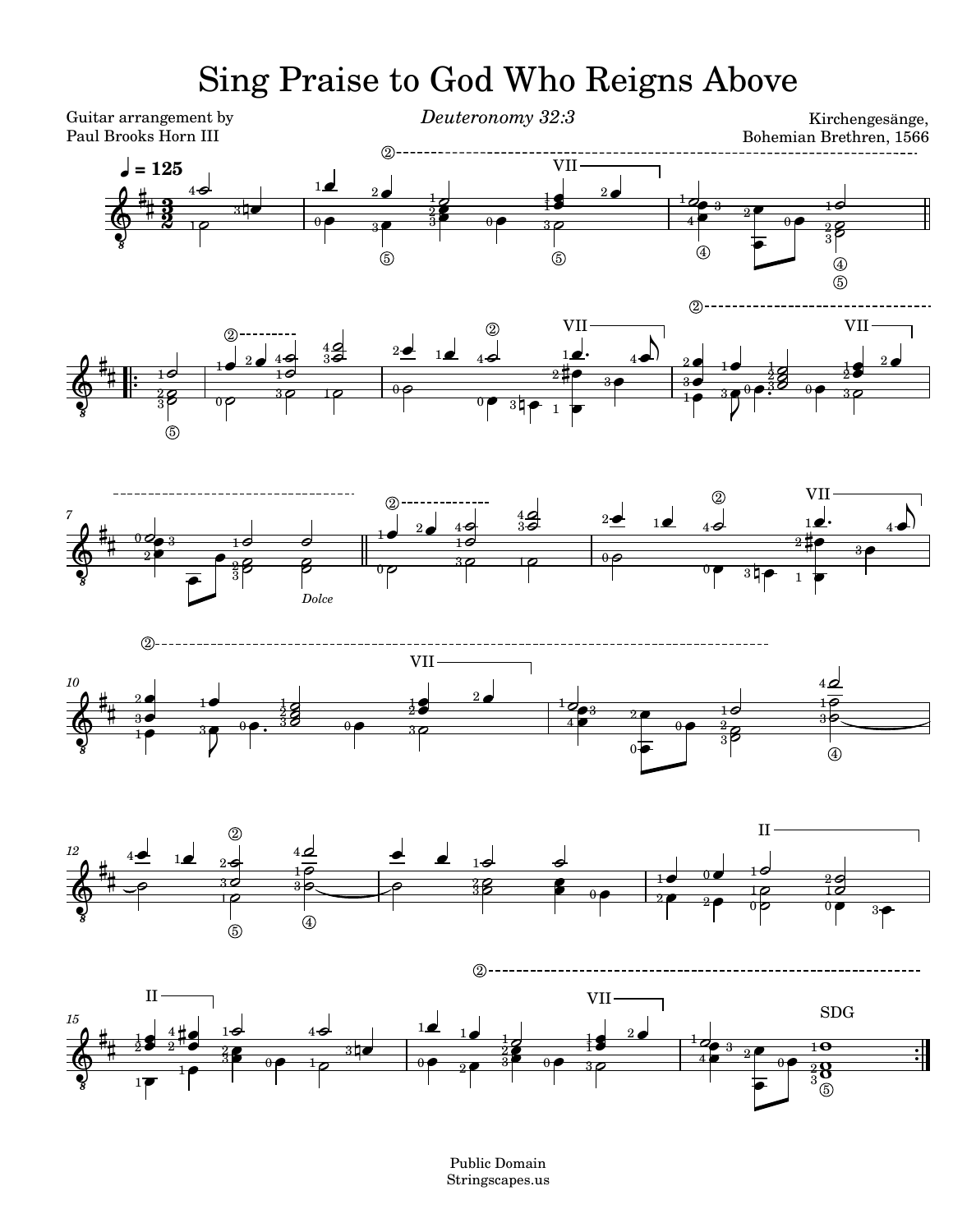## Sing Praise to God Who Reigns Above



Public Domain Stringscapes.us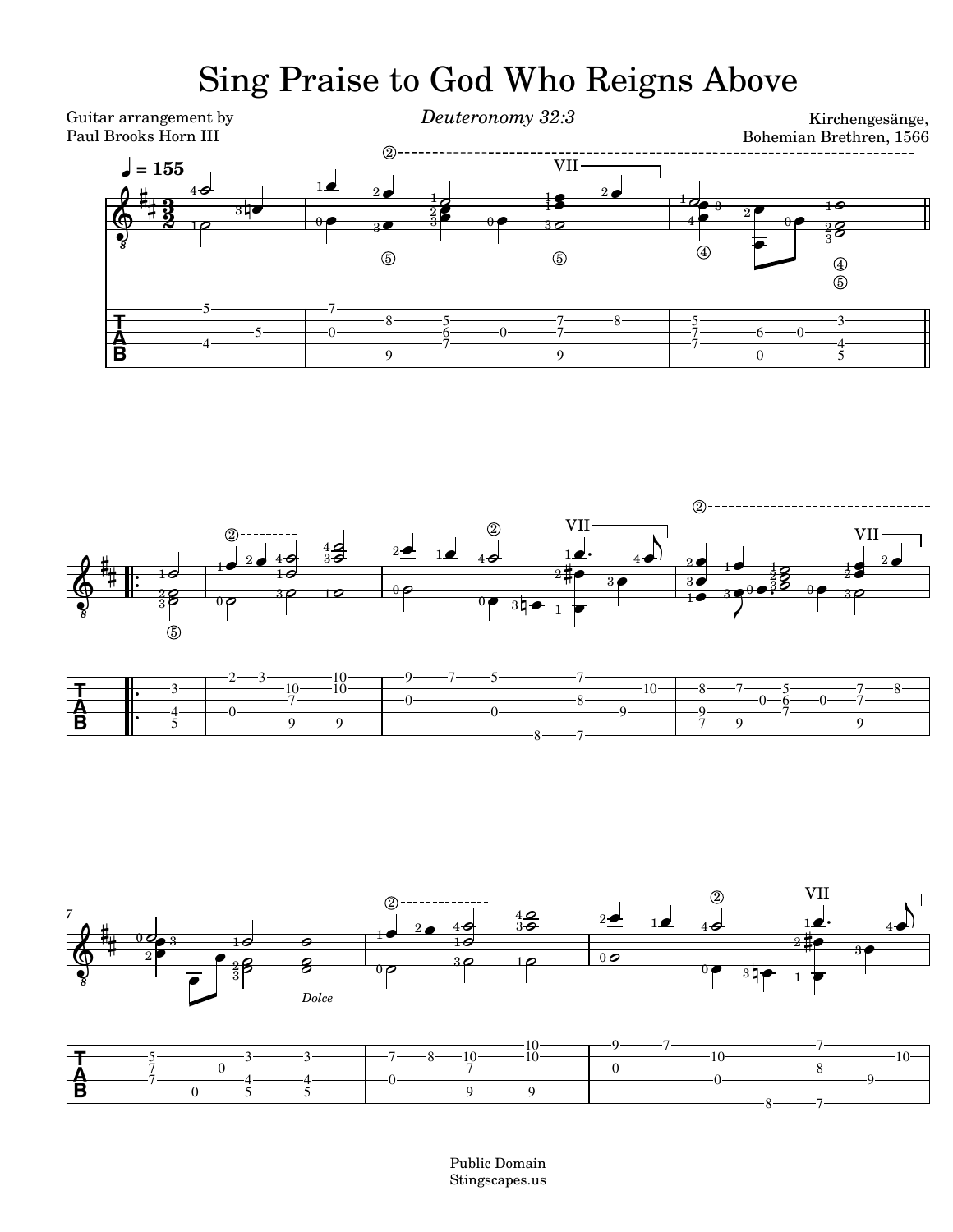## Sing Praise to God Who Reigns Above







Public Domain Stingscapes.us